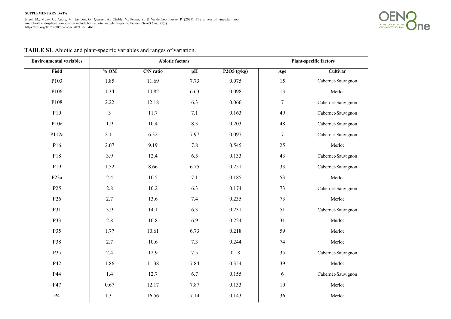

| <b>Environmental variables</b> |                                         | <b>Abiotic factors</b> |      | <b>Plant-specific factors</b> |                  |                    |  |
|--------------------------------|-----------------------------------------|------------------------|------|-------------------------------|------------------|--------------------|--|
| Field                          | $%$ OM<br>C/N ratio<br>P2O5(g/kg)<br>pH |                        |      |                               | Cultivar<br>Age  |                    |  |
| P <sub>103</sub>               | 1.85                                    | 11.69                  | 7.73 | 0.075                         | 15               | Cabernet-Sauvignon |  |
| P106                           | 1.34                                    | 10.82                  | 6.63 | 0.098                         | 13               | Merlot             |  |
| P108                           | 2.22                                    | 12.18                  | 6.3  | 0.066                         | $\boldsymbol{7}$ | Cabernet-Sauvignon |  |
| P10                            | $\mathfrak{Z}$                          | 11.7                   | 7.1  | 0.163                         | 49               | Cabernet-Sauvignon |  |
| P10e                           | 1.9                                     | 10.4                   | 8.3  | 0.203                         | 48               | Cabernet-Sauvignon |  |
| P112a                          | 2.11                                    | 6.32                   | 7.97 | 0.097                         | $\boldsymbol{7}$ | Cabernet-Sauvignon |  |
| P16                            | 2.07                                    | 9.19                   | 7.8  | 0.545                         | 25               | Merlot             |  |
| P18                            | 3.9                                     | 12.4                   | 6.5  | 0.133                         | 43               | Cabernet-Sauvignon |  |
| P <sub>19</sub>                | 1.52                                    | 8.66                   | 6.75 | 0.251                         | 33               | Cabernet-Sauvignon |  |
| P <sub>23a</sub>               | 2.4                                     | 10.5                   | 7.1  | 0.185                         | 53               | Merlot             |  |
| P <sub>25</sub>                | 2.8                                     | 10.2                   | 6.3  | 0.174                         | 73               | Cabernet-Sauvignon |  |
| P <sub>26</sub>                | 2.7                                     | 13.6                   | 7.4  | 0.235                         | 73               | Merlot             |  |
| P31                            | 3.9                                     | 14.1                   | 6.3  | 0.231                         | 51               | Cabernet-Sauvignon |  |
| P33                            | 2.8                                     | 10.8                   | 6.9  | 0.224                         | 31               | Merlot             |  |
| P35                            | 1.77                                    | 10.61                  | 6.73 | 0.218                         | 59               | Merlot             |  |
| P38                            | 2.7                                     | 10.6                   | 7.3  | 0.244                         | $74\,$           | Merlot             |  |
| P3a                            | 2.4                                     | 12.9                   | 7.5  | 0.18                          | 35               | Cabernet-Sauvignon |  |
| P42                            | 1.86                                    | 11.38                  | 7.84 | 0.354                         | 39               | Merlot             |  |
| P44                            | 1.4                                     | 12.7                   | 6.7  | 0.155                         | 6                | Cabernet-Sauvignon |  |
| P47                            | 0.67                                    | 12.17                  | 7.87 | 0.133                         | $10\,$           | Merlot             |  |
| P4                             | 1.31                                    | 16.56                  | 7.14 | 0.143                         | 36               | Merlot             |  |

## **TABLE S1**. Abiotic and plant-specific variables and ranges of variation.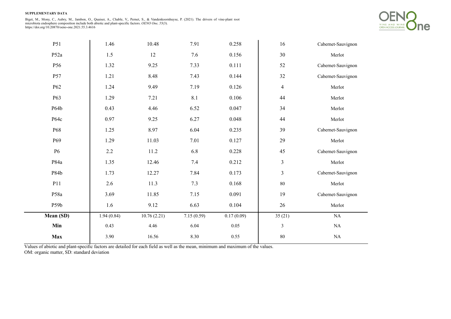**SUPPLEMENTARY DATA** 

Biget, M., Mony, C., Aubry, M., Jambon, O., Quaiser, A., Chable, V., Pernet, S., & Vandenkoornhuyse, P. (2021). The drivers of vine-plant root<br>microbiota endosphere composition include both abiotic and plant-specific facto https://doi.org/10.20870/oeno-one.2021.55.3.4616



| P51              | 1.46       | 10.48       | 7.91       | 0.258      | 16                      | Cabernet-Sauvignon |  |
|------------------|------------|-------------|------------|------------|-------------------------|--------------------|--|
| P <sub>52a</sub> | 1.5        | 12          | 7.6        | 0.156      | 30                      | Merlot             |  |
| P56              | 1.32       | 9.25        | 7.33       | 0.111      | 52                      | Cabernet-Sauvignon |  |
| P57              | 1.21       | 8.48        | 7.43       | 0.144      | 32                      | Cabernet-Sauvignon |  |
| P62              | 1.24       | 9.49        | 7.19       | 0.126      | $\overline{\mathbf{4}}$ | Merlot             |  |
| P63              | 1.29       | 7.21        | $8.1\,$    | 0.106      | 44                      | Merlot             |  |
| P64b             | 0.43       | 4.46        | 6.52       | 0.047      | 34                      | Merlot             |  |
| P64c             | 0.97       | 9.25        | 6.27       | 0.048      | 44                      | Merlot             |  |
| P68              | 1.25       | 8.97        | 6.04       | 0.235      | 39                      | Cabernet-Sauvignon |  |
| P <sub>69</sub>  | 1.29       | 11.03       | 7.01       | 0.127      | 29                      | Merlot             |  |
| <b>P6</b>        | $2.2\,$    | 11.2        | 6.8        | 0.228      | 45                      | Cabernet-Sauvignon |  |
| P84a             | 1.35       | 12.46       | 7.4        | 0.212      | 3                       | Merlot             |  |
| P84b             | 1.73       | 12.27       | 7.84       | 0.173      | $\mathfrak{Z}$          | Cabernet-Sauvignon |  |
| P11              | 2.6        | 11.3        | 7.3        | 0.168      | $80\,$                  | Merlot             |  |
| P58a             | 3.69       | 11.85       | 7.15       | 0.091      | 19                      | Cabernet-Sauvignon |  |
| P59b             | 1.6        | 9.12        | 6.63       | 0.104      | 26                      | Merlot             |  |
| Mean (SD)        | 1.94(0.84) | 10.76(2.21) | 7.15(0.59) | 0.17(0.09) | 35(21)                  | $\rm NA$           |  |
| Min              | 0.43       | 4.46        | 6.04       | $0.05\,$   | $\mathfrak{Z}$          | $\rm NA$           |  |
| <b>Max</b>       | 3.90       | 16.56       | 8.30       | 0.55       | $80\,$                  | $\rm NA$           |  |

Values of abiotic and plant-specific factors are detailed for each field as well as the mean, minimum and maximum of the values. OM: organic matter, SD: standard deviation